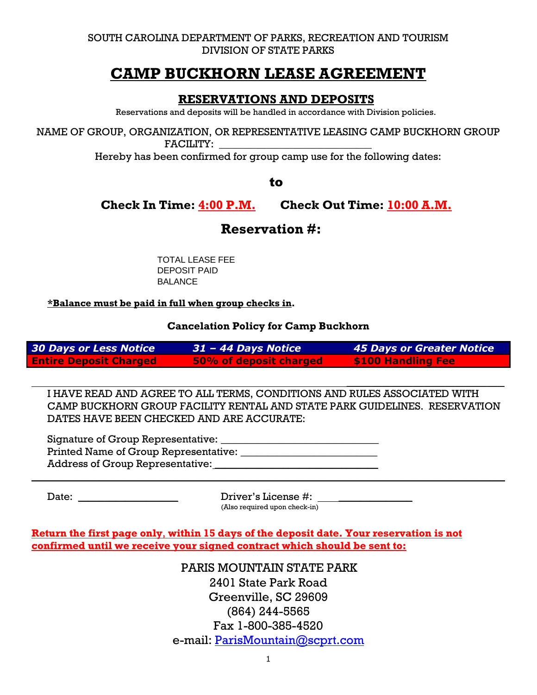SOUTH CAROLINA DEPARTMENT OF PARKS, RECREATION AND TOURISM DIVISION OF STATE PARKS

# **CAMP BUCKHORN LEASE AGREEMENT**

### **RESERVATIONS AND DEPOSITS**

Reservations and deposits will be handled in accordance with Division policies.

NAME OF GROUP, ORGANIZATION, OR REPRESENTATIVE LEASING CAMP BUCKHORN GROUP FACILITY:

Hereby has been confirmed for group camp use for the following dates:

to

**Check In Time: 4:00 P.M. Check Out Time: 10:00 A.M.** 

## **Reservation #:**

TOTAL LEASE FEE DEPOSIT PAID **BALANCE** 

#### **\*Balance must be paid in full when group checks in.**

**Cancelation Policy for Camp Buckhorn**

| 30 Days or Less Notice        | $31 - 44$ Days Notice  | 45 Days or Greater Notice |
|-------------------------------|------------------------|---------------------------|
| <b>Entire Deposit Charged</b> | 50% of deposit charged | <b>\$100 Handling Fee</b> |

I HAVE READ AND AGREE TO ALL TERMS, CONDITIONS AND RULES ASSOCIATED WITH CAMP BUCKHORN GROUP FACILITY RENTAL AND STATE PARK GUIDELINES. RESERVATION DATES HAVE BEEN CHECKED AND ARE ACCURATE:

\_\_\_\_\_\_\_\_\_\_\_\_\_\_\_\_\_\_\_\_\_\_\_\_\_\_\_\_\_\_\_\_\_\_\_\_\_\_\_\_\_\_\_\_\_

Signature of Group Representative: \_\_\_\_\_\_\_\_\_\_\_\_\_\_\_\_\_\_\_\_\_\_\_\_\_\_\_\_\_\_ Printed Name of Group Representative: \_\_\_\_\_\_\_\_\_\_\_\_\_\_\_\_\_\_\_\_\_\_\_\_\_\_ Address of Group Representative:

Date: \_\_\_\_\_\_\_\_\_\_\_\_\_\_\_\_\_\_\_ Driver's License #: \_\_\_\_\_\_\_\_\_\_\_\_\_\_ (Also required upon check-in)

 $\mathcal{L} = \{ \mathcal{L} = \{ \mathcal{L} = \mathcal{L} \} \cup \{ \mathcal{L} = \{ \mathcal{L} = \mathcal{L} \} \cup \{ \mathcal{L} = \{ \mathcal{L} = \mathcal{L} \} \cup \{ \mathcal{L} = \{ \mathcal{L} = \mathcal{L} = \mathcal{L} \} \cup \{ \mathcal{L} = \{ \mathcal{L} = \mathcal{L} = \mathcal{L} \} \cup \{ \mathcal{L} = \{ \mathcal{L} = \mathcal{L} = \mathcal{L} \} \cup \{ \mathcal{L} = \{ \mathcal{L} = \mathcal{L}$ 

**Return the first page only**, **within 15 days of the deposit date. Your reservation is not confirmed until we receive your signed contract which should be sent to:**

> PARIS MOUNTAIN STATE PARK 2401 State Park Road Greenville, SC 29609 (864) 244-5565 Fax 1-800-385-4520 e-mail: [ParisMountain@scprt.com](mailto:ParisMountain@scprt.com)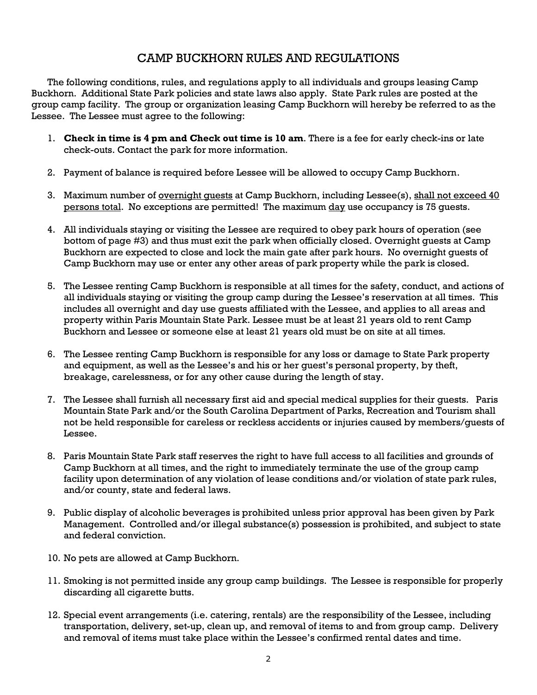### CAMP BUCKHORN RULES AND REGULATIONS

The following conditions, rules, and regulations apply to all individuals and groups leasing Camp Buckhorn. Additional State Park policies and state laws also apply. State Park rules are posted at the group camp facility. The group or organization leasing Camp Buckhorn will hereby be referred to as the Lessee. The Lessee must agree to the following:

- 1. **Check in time is 4 pm and Check out time is 10 am**. There is a fee for early check-ins or late check-outs. Contact the park for more information.
- 2. Payment of balance is required before Lessee will be allowed to occupy Camp Buckhorn.
- 3. Maximum number of overnight quests at Camp Buckhorn, including Lessee(s), shall not exceed 40 persons total. No exceptions are permitted! The maximum day use occupancy is 75 guests.
- 4. All individuals staying or visiting the Lessee are required to obey park hours of operation (see bottom of page #3) and thus must exit the park when officially closed. Overnight guests at Camp Buckhorn are expected to close and lock the main gate after park hours. No overnight guests of Camp Buckhorn may use or enter any other areas of park property while the park is closed.
- 5. The Lessee renting Camp Buckhorn is responsible at all times for the safety, conduct, and actions of all individuals staying or visiting the group camp during the Lessee's reservation at all times. This includes all overnight and day use guests affiliated with the Lessee, and applies to all areas and property within Paris Mountain State Park. Lessee must be at least 21 years old to rent Camp Buckhorn and Lessee or someone else at least 21 years old must be on site at all times.
- 6. The Lessee renting Camp Buckhorn is responsible for any loss or damage to State Park property and equipment, as well as the Lessee's and his or her guest's personal property, by theft, breakage, carelessness, or for any other cause during the length of stay.
- 7. The Lessee shall furnish all necessary first aid and special medical supplies for their guests. Paris Mountain State Park and/or the South Carolina Department of Parks, Recreation and Tourism shall not be held responsible for careless or reckless accidents or injuries caused by members/guests of Lessee.
- 8. Paris Mountain State Park staff reserves the right to have full access to all facilities and grounds of Camp Buckhorn at all times, and the right to immediately terminate the use of the group camp facility upon determination of any violation of lease conditions and/or violation of state park rules, and/or county, state and federal laws.
- 9. Public display of alcoholic beverages is prohibited unless prior approval has been given by Park Management. Controlled and/or illegal substance(s) possession is prohibited, and subject to state and federal conviction.
- 10. No pets are allowed at Camp Buckhorn.
- 11. Smoking is not permitted inside any group camp buildings. The Lessee is responsible for properly discarding all cigarette butts.
- 12. Special event arrangements (i.e. catering, rentals) are the responsibility of the Lessee, including transportation, delivery, set-up, clean up, and removal of items to and from group camp. Delivery and removal of items must take place within the Lessee's confirmed rental dates and time.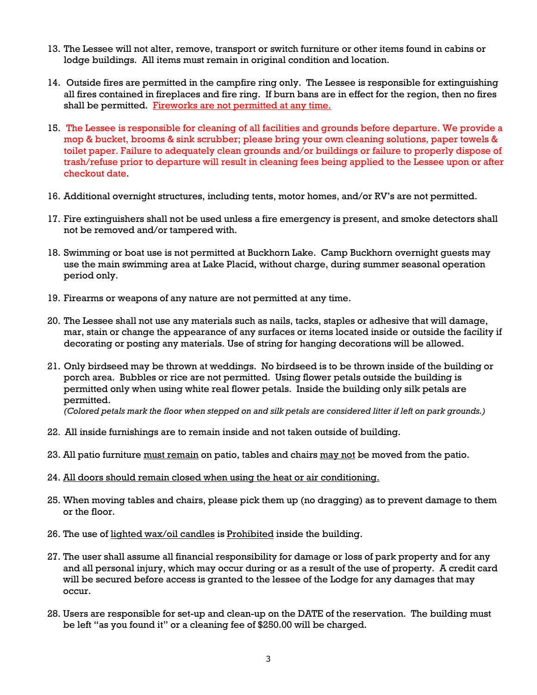- 13. The Lessee will not alter, remove, transport or switch furniture or other items found in cabins or lodge buildings. All items must remain in original condition and location.
- 14. Outside fires are permitted in the campfire ring only. The Lessee is responsible for extinguishing all fires contained in fireplaces and fire ring. If burn bans are in effect for the region, then no fires shall be permitted. Fireworks are not permitted at any time.
- 15. The Lessee is responsible for cleaning of all facilities and grounds before departure. We provide a mop & bucket, brooms & sink scrubber; please bring your own cleaning solutions, paper towels & toilet paper. Failure to adequately clean grounds and/or buildings or failure to properly dispose of trash/refuse prior to departure will result in cleaning fees being applied to the Lessee upon or after checkout date.
- 16. Additional overnight structures, including tents, motor homes, and/or RV's are not permitted.
- 17. Fire extinguishers shall not be used unless a fire emergency is present, and smoke detectors shall not be removed and/or tampered with.
- 18. Swimming or boat use is not permitted at Buckhorn Lake. Camp Buckhorn overnight guests may use the main swimming area at Lake Placid, without charge, during summer seasonal operation period only.
- 19. Firearms or weapons of any nature are not permitted at any time.
- 20. The Lessee shall not use any materials such as nails, tacks, staples or adhesive that will damage, mar, stain or change the appearance of any surfaces or items located inside or outside the facility if decorating or posting any materials. Use of string for hanging decorations will be allowed.
- 21. Only birdseed may be thrown at weddings. No birdseed is to be thrown inside of the building or porch area. Bubbles or rice are not permitted. Using flower petals outside the building is permitted only when using white real flower petals. Inside the building only silk petals are permitted.

*(Colored petals mark the floor when stepped on and silk petals are considered litter if left on park grounds.)*

- 22. All inside furnishings are to remain inside and not taken outside of building.
- 23. All patio furniture must remain on patio, tables and chairs may not be moved from the patio.
- 24. All doors should remain closed when using the heat or air conditioning.
- 25. When moving tables and chairs, please pick them up (no dragging) as to prevent damage to them or the floor.
- 26. The use of lighted wax/oil candles is Prohibited inside the building.
- 27. The user shall assume all financial responsibility for damage or loss of park property and for any and all personal injury, which may occur during or as a result of the use of property. A credit card will be secured before access is granted to the lessee of the Lodge for any damages that may occur.
- 28. Users are responsible for set-up and clean-up on the DATE of the reservation. The building must be left "as you found it" or a cleaning fee of \$250.00 will be charged.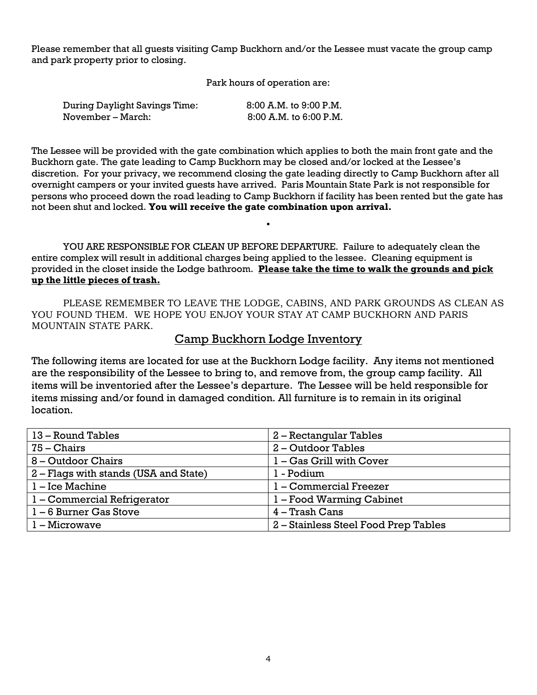Please remember that all guests visiting Camp Buckhorn and/or the Lessee must vacate the group camp and park property prior to closing.

Park hours of operation are:

| <b>During Daylight Savings Time:</b> | $8:00$ A.M. to $9:00$ P.M. |
|--------------------------------------|----------------------------|
| November – March:                    | $8:00$ A.M. to $6:00$ P.M. |

The Lessee will be provided with the gate combination which applies to both the main front gate and the Buckhorn gate. The gate leading to Camp Buckhorn may be closed and/or locked at the Lessee's discretion. For your privacy, we recommend closing the gate leading directly to Camp Buckhorn after all overnight campers or your invited guests have arrived. Paris Mountain State Park is not responsible for persons who proceed down the road leading to Camp Buckhorn if facility has been rented but the gate has not been shut and locked. **You will receive the gate combination upon arrival.**

**.**

YOU ARE RESPONSIBLE FOR CLEAN UP BEFORE DEPARTURE. Failure to adequately clean the entire complex will result in additional charges being applied to the lessee. Cleaning equipment is provided in the closet inside the Lodge bathroom. **Please take the time to walk the grounds and pick up the little pieces of trash.**

PLEASE REMEMBER TO LEAVE THE LODGE, CABINS, AND PARK GROUNDS AS CLEAN AS YOU FOUND THEM. WE HOPE YOU ENJOY YOUR STAY AT CAMP BUCKHORN AND PARIS MOUNTAIN STATE PARK.

### Camp Buckhorn Lodge Inventory

The following items are located for use at the Buckhorn Lodge facility. Any items not mentioned are the responsibility of the Lessee to bring to, and remove from, the group camp facility. All items will be inventoried after the Lessee's departure. The Lessee will be held responsible for items missing and/or found in damaged condition. All furniture is to remain in its original location.

| 13 – Round Tables                     | 2 – Rectangular Tables               |
|---------------------------------------|--------------------------------------|
| $75 - Chairs$                         | 2 - Outdoor Tables                   |
| 8 – Outdoor Chairs                    | 1 - Gas Grill with Cover             |
| 2 – Flags with stands (USA and State) | 1 - Podium                           |
| 1 – Ice Machine                       | 1 - Commercial Freezer               |
| 1 – Commercial Refrigerator           | 1 – Food Warming Cabinet             |
| 1-6 Burner Gas Stove                  | 4 – Trash Cans                       |
| $l -$ Microwave                       | 2 – Stainless Steel Food Prep Tables |